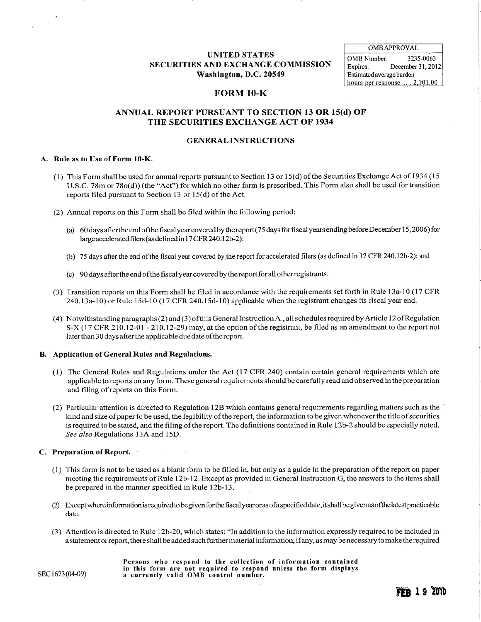## UNITED STATES SECURITIES AND EXCHANGE COMMISSION Washington, D.C. 20549

**OMB APPROVAL** OMB Number: 3235-0063 Expires: December 31, 2012 Estimated average burden

hours per response  $\dots$  . 2, 101.00

FORM 10-K

## ANNUAL REPORT PURSUANT TO SECTION 13 OR 15(d) OF THE SECURITIES EXCHANGE ACT OF 1934

### GENERAL INSTRUCTIONS

### A. Rule as to Use of Form lO-K.

 $\sqrt{2}$  ,  $\frac{1}{2}$ 

- (1) This Form shall be used for annual reports pursuant to Section 13 or 15(d) of the Securities Exchange Act of 1934 (15 U.S.C. 78m or 780(d)) (the "Act") for which no other form is prescribed. This Form also shall be used for transition reports fied pursuant to Section 13 or 15(d) of the Act.
- (2) Annual reports on this Form shall be fied within the following period:
	- (a) 60 days after the end of the fiscal year covered by the report (75 days for fiscal years ending before December 15,2006) for large accelerated filers (as defined in 17 CFR 240.12b-2):
	- (b) 75 days after the end of the fiscal year covered by,the report for accelerated fiers (as defined in '17 CFR 240.l2b-2); and
	- (c) 90 days after the end ofthe fiscal year covered by the report for all other registrants.
- (3) Transition reports on this Form shall be fied in accordance with the requirements set forth in Rule 13a-10 (17 CFR 240.13a-10) or Rule l5d-10 (17 CFR 240.15d-10) applicable when the registrant changes its fiscal year end.
- (4 ) Notwithstanding paragraphs (2) and (3) ofthis General Instruction A., all schedules required by Article 12 of Regulation S-X (17 CFR 210.12-01 - 210.12-29) may, at the option ofthe registrant, be fied as an amendment to the report not later than 30 days after the applicable due date of the report.

### B. Application of General Rules and Regulations.

- (1) The General Rules and Regulations under the Act (17 CFR 240) contain certain general requirements which are applicable to reports on any form. These general requirements should be carefully read and observed in the preparation and fiing of reports on this Form.
- (2) Particular attention is directed to Regulation 12B which contains general requirements regarding matters such as the' kind and size of paper to be used, the legibility of the report, the information to be given whenever the title of securities is required to be stated, and the fiing ofthe report. The definitions contained in Rule 12b-2 should be especially noted. See also Regulations 13A and 15D.

### C. Preparation of Report.

- (1) This form is not to be used as a blank form to be filled in, but only as a guide in the preparation of the report on paper meeting the requirements of Rule 12b-12. Except as provided in General Instruction G, the answers to the items shall be prepared in the manner specified in Rule 12b-13.
- (2) Except where information is required to be given for the fiscal year or as of a specified date, it shall be given as of the latest practicable date.
- (3) Attention is directed to Rule 12b-20, which states: "In addition to the information expressly required to be included in a statement or report, there shall be added such further material information, if any, as may be necessary to make the required

Persons who respond to the collection of information contained in this form are not required to respond unless the form displays a currently valid OMB control number.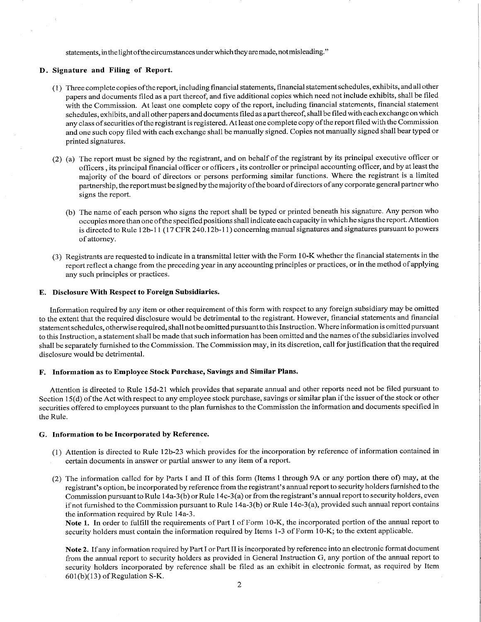statements, in the light of the circumstances under which they are made, not misleading."

### D. Signature and Filng of Report.

- (1) Three complete copies ofthe report, including financial statements, financial statement schedules, exhibits, and all other papers and documents fied as a part thereof, and five additional copies which need not include exhibits, shall be fied with the Commission. At least one complete copy of the report, including financial statements, financial statement schedules, exhibits, and all other papers and documents filed as a partthereof, shall be fied with each exchange on which any class of securities ofthe registrant is registered. At least one complete copy ofthe report fied with the Commission and one such copy filed with each exchange shall be manually signed. Copies not manually signed shall bear typed or printed signatures.
- (2) (a) The report must be signed by the registrant, and on behalf of the registrant by its principal executive offcer or officers, its principal financial officer or officers, its controller or principal accounting officer, and by at least the majority of the board of directors or persons performing similar functions. Where the registrant is a limited partnership, the report must be signed by the majority ofthe board of directors of any corporate general partner who signs the report.
	- (b) The name of each person who signs the report shall be typed or printed beneath his signature. Any person who occupies more than one ofthe specified positions shall indicate each capacity in which he signs the report. Attention is directed to Rule 12b-11 (17 CFR 240.12b-11) concerning manual signatures and signatures pursuant to powers of attorney.
- (3) Registrants are requested to indicate in a transmittal letter with the Form 1 O-K whether the financial statements in the report reflect a change from the preceding year in any accounting principles or practices, or in the method of applying any such principles or practices.

### E. Disclosure With Respect to Foreign Subsidiaries.

Information required by any item or other requirement of this form with respect to any foreign subsidiary may be omitted to the extent that the required disclosure would be detrimental to the registrant. However, financial statements and financial statement schedules, otherwise required, shall not be omitted pursuant to this Instruction. Where information is omitted pursuant to this Instruction, a statement shall be made that such information has been omitted and the names ofthe subsidiaries involved shall be separately furnished to the Commission. The Commission may, in its discretion, call for justification that the required disclosure would be detrimentaL.

## F. Information as to Employee Stock Purchase, Savings and Similar Plans.

Attention is directed to Rule 15d-21 which provides that separate annual and other reports need not be fied pursuant to Section 15(d) of the Act with respect to any employee stock purchase, savings or similar plan if the issuer of the stock or other securities offered to employees pursuant to the plan furnishes to the Commission the information and documents specified in the Rule.

#### G. Information to be Incorporated by Reference.

- (1) Attention is directed to Rule 12b-23 which provides for the incorporation by reference of information contained in certain documents in answer or partial answer to any item of a report.
- (2) The information called for by Parts I and II of this form (Items 1 through 9A or any portion there of) may, at the registrant's option, be incorporated by reference from the registrant's annual report to security holders furnished to the Commission pursuant to Rule 14a-3(b) or Rule 14c-3(a) or from the registrant's annual report to security holders, even if not furnished to the Commission pursuant to Rule  $14a-3(b)$  or Rule  $14c-3(a)$ , provided such annual report contains the information required by Rule 14a-3.

Note 1. In order to fulfill the requirements of Part I of Form 10-K, the incorporated portion of the annual report to security holders must contain the information required by Items 1-3 of Form 10-K; to the extent applicable.

Note 2. If any information required by Part I or Part II is incorporated by reference into an electronic format document from the annual report to security holders as provided in General Instruction G, any portion of the anual report to security holders incorporated by reference shall be fied as an exhibit in electronic format, as required by Item 601(b)(13) of Regulation S-K.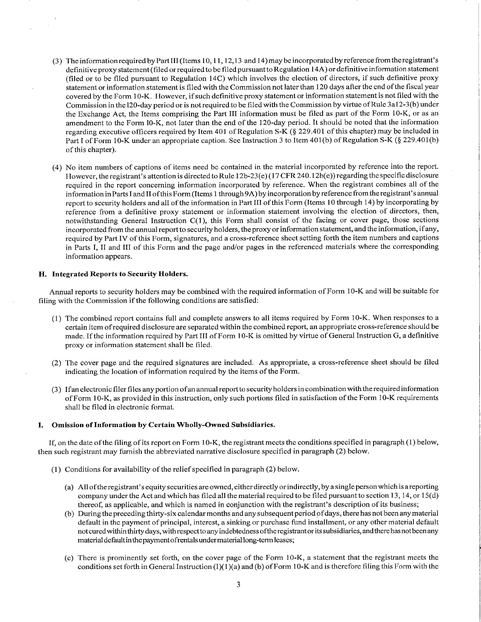- (3) The information required by Part III (Items 10, 11, 12,13 and 14) may be incorporated by reference from the registrant's definitive proxy statement (filed or required to be filed pursuant to Regulation 14A) or definitive information statement (filed or to be filed pursuant to Regulation 14C) which involves the election of directors, if such definitive proxy statement or information statement is fied with the Commission not later than 120 days after the end ofthe fiscal year covered by the Form 10-K. However, if such definitive proxy statement or information statement is not filed with the Commission in the 120-day period or is not required to be fied with the Commission by virtue of Rule 3aI2-3(b) under the Exchange Act, the Items comprising the Part III information must be filed as part of the Form 10-K, or as an amendment to the Form lO-K, not later than the end of the 120-day period. It should be noted that the information regarding executive officers required by Item 401 of Regulation S-K (§ 229.401 of this chapter) may be included in Part I of Form 10-K under an appropriate caption. See Instruction 3 to Item 401(b) of Regulation S-K (§ 229.401(b) of this chapter).
- (4) No item numbers of captions of items need be contained in the material incorporated by reference into the report. However, the registrant's attention is directed to Rule 12b-23 (e) (17 CFR 240 .12b( e)) regarding the specific disclosure required in the report concerning information incorporated by reference. When the registrant combines all of the information in Parts I and II of this Form (Items 1 through 9A) by incorporation by reference from the registrant's annual report to security holders and all of the information in Part III of this Form (Items 10 through 14) by incorporating by reference from a definitive proxy statement or information statement involving the election of directors, then, notwithstanding General Instruction C(1), this Form shall consist of the facing or cover page, those sections incorporated from the annual report to security holders, the proxy or information statement, and the information, if any, required by Part IV of this Form, signatures, and a cross-reference sheet setting forth the item numbers and captions in Parts I, II and III of this Form and the page and/or pages in the referenced materials where the corresponding information appears.

### H. Integrated Reports to Security Holders.

Annual reports to security holders may be combined with the required information of Form 10-K and wil be suitable for fiing with the Commission if the following conditions are satisfied:

- (1) The combined report contains full and complete answers to all items required by Form 10-K. When responses to a certain item of required disclosure are separated within the combinea report, an appropriate cross-reference should be made. If the information required by Part III of Form 10-K is omitted by virtue of General Instruction G, a definitive proxy or information statement shall be filed.
- (2) The cover page and the required signatures are included. As appropriate, a cross-reference sheet should be fied indicating the location of information required by the items of the Form.
- (3) If an electronic fier fies any portion of an annual report to security holders in combination with the required information of Form 1O-K, as provided in this instruction, only such portions fied in satisfaction of the Form 10-K requirements shall be filed in electronic format.

#### I. Omission of Information by Certain Wholly-Owned Subsidiaries.

If, on the date ofthe fiing of its report on Form 10-K, the registrant meets the conditions specified in paragraph (1) below, then such registrant may furnish the abbreviated narrative disclosure specified in paragraph (2) below.

- (1) Conditions for availability of the relief specified in paragraph (2) below.
	- (a) All ofthe registrant's equity securities are owned, either directly orin directly , by a single person which is a reporting company under the Act and which has fied all the material required to be fied pursuant to section 13,14, or 15(d) thereof, as applicable, and which is named in conjunction with the registrant's description of its business;
	- (b) During the preceding thirty-six calendar months and any subsequent period of days, there has not been any material default in the payment of principal, interest, a sinking or purchase fund installment, or any other material default not cured within thirty days, with respect to any indebtedness of the registrant or its subsidiaries, and there has not been any material default in the payment of rentals under material long-term leases;
	- (c) There is prominently set forth, on the cover page of the Form 10- K, a statement that the registrant meets the conditions set forth in General Instruction  $(I)(1)(a)$  and  $(b)$  of Form 10-K and is therefore filing this Form with the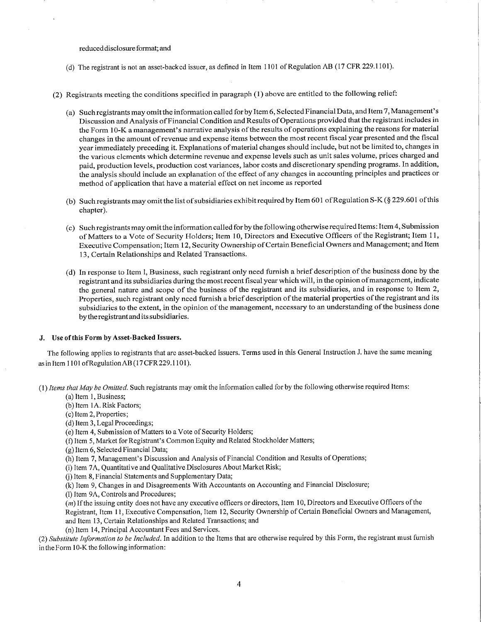#### reduced disclosure format; and

- (d) The registrant is not an asset-backed issuer, as defined in Item 1101 of Regulation AB (17 CFR 229.1 101).
- (2) Registrants meeting the conditions specified in paragraph (1) above are entitled to the following relief:
	- (a) Such registrants may omitthe information called for by Item 6, Selected Financial Data, and Item 7, Management's Discussion and Analysis of Financial Condition and Results of Operations provided that the registrant includes in the Form 10-K a management's narrative analysis of the results of operations explaining the reasons for material changes in the amount of revenue and expense items between the most recent fiscal year presented and the fiscal year immediately preceding it. Explanations of material changes should include, but not be limited to, changes in the various elements which determine revenue and expense levels such as unit sales volume, prices charged and paid, production levels, production cost variances, labor costs and discretionary spending programs. In addition, the analysis should include an explanation of the effect of any changes in accounting principles and practices or method of application that have a material effect on net income as reported
	- (b) Such registrants may omit the list of subsidiaries exhibit required by Item 601 of Regulation S-K (§ 229.601 of this chapter).
	- (c) Such registrants may omitthe information called for by the following otherwise required Items: Item 4, Submission of Matters to a Vote of Security Holders; Item 10, Directors and Executive Officers of the Registrant; Item 11, Executive Compensation; Item 12, Security Ownership of Certain Beneficial Owners and Management; and Item 13, Certain Relationships and Related Transactions.
	- (d) In response to Item 1, Business, such registrant only need furnish a brief description of the business done by the registrant and its subsidiaries during the most recent fiscal year which wil, in the opinion of management, indicate the general natue and scope of the business of the registrant and its subsidiaries, and in response to Item 2, Properties, such registrant only need furnish a brief description of the material properties of the registrant and its subsidiaries to the extent, in the opinion of the management, necessary to an understanding of the business done by the registrant and its subsidiaries.

### J. Use of this Form by Asset-Backed Issuers.

The following applies to registrants that are asset-backed issuers. Terms used in this General Instruction J. have the same meaning as in Item 1101 of Regulation AB (17 CFR 229.1101).

(1) Items that May be Omitted. Such registrants may omit the information called for by the following otherwise required Items:

(a) Item 1, Business;

 $(b)$  Item 1A. Risk Factors;

(c) Item 2, Properties;

(d) Item 3, Legal Proceedings;

(e) Item 4, Submission of Matters to a Vote of Security Holders;

(í) Item 5, Market for Registrant's Common Equity and Related Stockholder Matters;

(g) Item 6, Selected Financial Data;

(h) Item 7, Management's Discussion and Analysis of Financial Condition and Results of Operations;

(i) Item 7 A, Quantitati ve and Qualitative Disclosures About Market Risk;

G) Item 8, Financial Statements and Supplementary Data;

(k) Item 9, Changes in and Disagreements With Accountants on Accounting and Financial Disclosure;

(I) Item 9A, Controls and Procedures;

(m) If the issuing entity does not have any executive officers or directors, Item 10, Directors and Executive Officers of the Registrant, Item 11, Executive Compensation, Item 12, Security Ownership of Certain Beneficial Owners and Management, and Item 13, Certain Relationships and Related Transactions; and

(n) Item 14, Principal Accountant Fees and Services.

(2) Substitute Information to be Included. In addition to the Items that are otherwise required by this Form, the registrant must furnish in the Form 10-K the following information: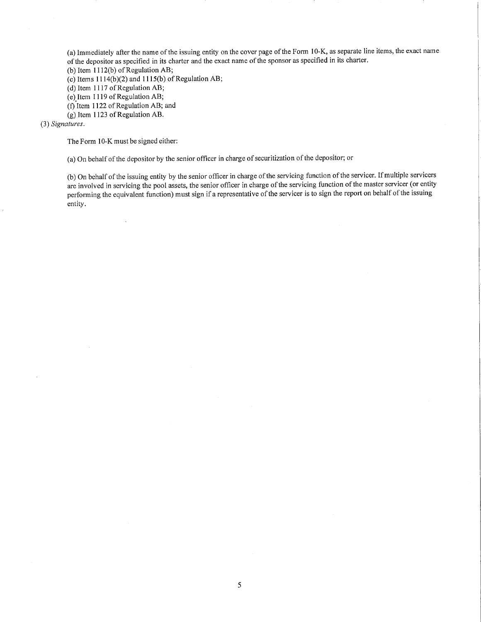(a) Immediately after the name of the issuing entity on the cover page of the Form 10-K, as separate line items, the exact name of the depositor as specified in its charter and the exact name of the sponsor as specified in its charter.

(b) Item lI12(b) of Regulation AB;

(c) Items  $1114(b)(2)$  and  $1115(b)$  of Regulation AB;

(d) Item 1117 of Regulation AB;

(e) Item 1119 of Regulation AB;

(f) Item 1122 of Regulation AB; and

(g) Item 1123 of Regulation AB.

(3) Signatures.

The Form 10-K must be signed either:

 $\ddot{\phantom{a}}$ 

(a) On behalf of the depositor by the senior officer in charge of securitization of the depositor; or

(b) On behalf of the issuing entity by the senior officer in charge of the servicing function of the servicer. Ifmultiple servicers are involved in servicing the pool assets, the senior officer in charge of the servicing function of the master servicer (or entity performing the equivalent function) must sign if a representative of the servicer is to sign the report on behalf of the issuing entity.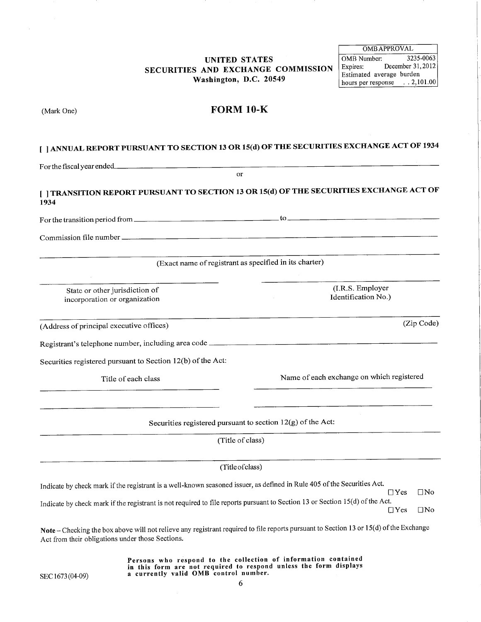# UNITED STATES SECURITIES AND EXCHANGE COMMISSION Washington, D.C. 20549

| <b>OMB APPROVAL</b>      |                    |  |
|--------------------------|--------------------|--|
| OMB Number:              | $3235 - 0063$      |  |
| Expires:                 | December $31,2012$ |  |
| Estimated average burden |                    |  |
| hours per response       | . .2, 101.00       |  |

| (Mark One)                                                      | $FORM 10-K$                                                                                                                                                                                                                                                                                                                                                                                       |                          |                              |
|-----------------------------------------------------------------|---------------------------------------------------------------------------------------------------------------------------------------------------------------------------------------------------------------------------------------------------------------------------------------------------------------------------------------------------------------------------------------------------|--------------------------|------------------------------|
|                                                                 | [ ] ANNUAL REPORT PURSUANT TO SECTION 13 OR 15(d) OF THE SECURITIES EXCHANGE ACT OF 1934                                                                                                                                                                                                                                                                                                          |                          |                              |
|                                                                 | <sub>or</sub>                                                                                                                                                                                                                                                                                                                                                                                     |                          |                              |
| 1934                                                            | [ ] TRANSITION REPORT PURSUANT TO SECTION 13 OR 15(d) OF THE SECURITIES EXCHANGE ACT OF                                                                                                                                                                                                                                                                                                           |                          |                              |
|                                                                 |                                                                                                                                                                                                                                                                                                                                                                                                   |                          |                              |
|                                                                 |                                                                                                                                                                                                                                                                                                                                                                                                   |                          |                              |
|                                                                 | (Exact name of registrant as specified in its charter)                                                                                                                                                                                                                                                                                                                                            |                          |                              |
| State or other jurisdiction of<br>incorporation or organization | (I.R.S. Employer<br>Identification No.)                                                                                                                                                                                                                                                                                                                                                           |                          |                              |
| (Address of principal executive offices)                        |                                                                                                                                                                                                                                                                                                                                                                                                   |                          | (Zip Code)                   |
|                                                                 |                                                                                                                                                                                                                                                                                                                                                                                                   |                          |                              |
| Securities registered pursuant to Section 12(b) of the Act:     |                                                                                                                                                                                                                                                                                                                                                                                                   |                          |                              |
| Title of each class                                             | Name of each exchange on which registered                                                                                                                                                                                                                                                                                                                                                         |                          |                              |
|                                                                 | Securities registered pursuant to section 12(g) of the Act:<br>(Title of class)                                                                                                                                                                                                                                                                                                                   |                          |                              |
|                                                                 | (Title of class)                                                                                                                                                                                                                                                                                                                                                                                  |                          |                              |
|                                                                 | Indicate by check mark if the registrant is a well-known seasoned issuer, as defined in Rule 405 of the Securities Act.<br>Indicate by check mark if the registrant is not required to file reports pursuant to Section 13 or Section 15(d) of the Act.<br>Note - Checking the box above will not relieve any registrant required to file reports pursuant to Section 13 or 15(d) of the Exchange | $\Box$ Yes<br>$\Box$ Yes | $\square$ No<br>$\square$ No |
| Act from their obligations under those Sections.                |                                                                                                                                                                                                                                                                                                                                                                                                   |                          |                              |

Persons who respond to the collection of information contained in this form are not required to respond unless the form displays a currently valid OMB control number.

 $\hat{\boldsymbol{\beta}}$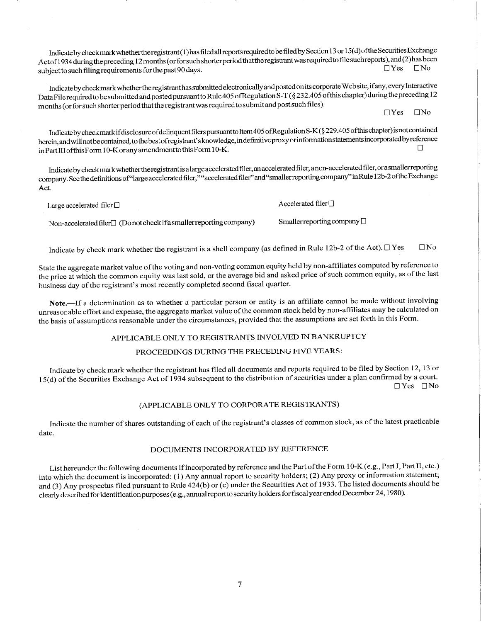Indicate by checkmark whether the registrant (1) has filed all reports required to be filed by Section 13 or 15(d) of the Securities Exchange  $\frac{1}{\text{Actof}}$  of the preceding 12 months (or for such shorter period that the registrant was required to file such reports), and (2) has been<br>subject to such filing requirements for the past 90 days. <br> $\Box$  Yes  $\Box$  No

Indicate by checkmarkwhethertheregistranthas submitted electronically and posted on its corporate Web site, if any, every Interactive DataFilerequired to be submitted and posted pursuant to Rule 405 ofRegulation S- T (§ 232.405 of ths chapter) during the preceding 12 months (or for such shorter period that the registrant was required to submit and post such fies).

DYes DNo

Indicate by check mark if disclosure of delinquent filers pursuant to Item 405 of Regulation S-K (§ 229.405 of this chapter) is not contained herein, and will not be contained, to the best of registrant's knowledge, indefinitive proxy or informationstatements incorporated by reference<br>in Part III of this Form 10-K or any amendment to this Form 10-K.

Indicate by check mark whether the registrant is alarge accelerated fier, an accelerated fier, anon-accelerated fier, or asmallerreporting company. See the definitions of "large accelerated filer," "accelerated filer" and "smaller reporting company" in Rule 12b-2 of the Exchange Act.

| Large accelerated filer $\square$                                               | Accelerated filer $\square$      |
|---------------------------------------------------------------------------------|----------------------------------|
| Non-accelerated filer <sup>1</sup> (Donot check if a smaller reporting company) | Smaller reporting company $\Box$ |

Indicate by check mark whether the registrant is a shell company (as defined in Rule 12b-2 of the Act).  $\Box$  Yes  $\Box$  No

State the aggregate market value of the voting and non-voting common equity held by non-affiliates computed by reference to the price at which the common equity was last sold, or the average bid and asked price of such common equity, as of the last business day of the registrant's most recently completed second fiscal quarter.

Note.-If a determination as to whether a particular person or entity is an affiliate cannot be made without involving unreasonable effort and expense, the aggregate market value ofthe common stock held by non-affiiates may be calculated on the basis of assumptions reasonable under the circumstances, provided that the assumptions are set forth in this Form.

# APPLICABLE ONLY TO REGISTRANTS INVOLVED IN BANKRUPTCY

### PROCEEDINGS DURING THE PRECEDING FIVE YEARS:

Indicate by check mark whether the registrant has fied all documents and reports required to be fied by Section 12, 13 or 15(d) of the Securities Exchange Act of 1934 subsequent to the distribution of securities under a plan confirmed by a court. DYes DNo

### (APPLICABLE ONLY TO CORPORATE REGISTRANTS)

Indicate the number of shares outstanding of each of the registrant's classes of common stock, as of the latest practicable date.

### DOCUMENTS INCORPORATED BY REFERENCE

List hereunder the following documents if incorporated by reference and the Part ofthe Form 10- K (e.g., Part I, Part II, etc.) into which the document is incorporated: (1) Any annual report to security holders; (2) Any proxy or information statement; and (3) Any prospectus fied pursuant to Rule 424(b) or (c) under the Securities Act of 1933. The listed documents should be clearly described for identification puroses (e.g., arualreportto securty holders for fiscal year ended December 24, 1980).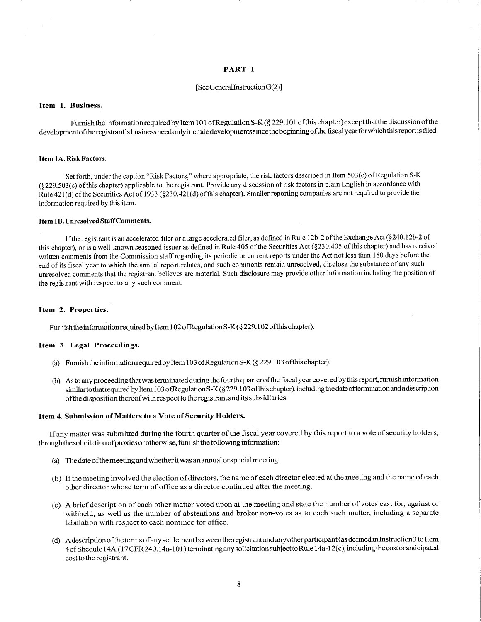#### $[See General InstructionG(2)]$

### Item 1. Business.

Furnish the information required by Item 101 of Regulation S-K (§ 229.101 of this chapter) except that the discussion of the development of the registrant's business need only include developments since the beginning of the fiscal year for which this report is filed.

### Item IA. Risk Factors.

Set forth, under the caption "Risk Factors," where appropriate, the risk factors described in Item 503(c) of Regulation S-K (§229.503( c) ofthis chapter) applicable to the registrant. Provide any discussion of risk factors in plain English in accordance with Rule 421(d) of the Securities Act of 1933 (§230.421(d) of this chapter). Smaller reporting companies are not required to provide the information required by this item.

### Item lB. Unresolved Staff Comments.

Ifthe registrant is an accelerated fier or a large accelerated fier, as defined in Rule 12b-2 of the Exchange Act (§240.l2b-2 of this chapter), or is a well-known seasoned issuer as defined in Rule 405 of the Securities Act (§230.405 of this chapter) and has received written comments from the Commission staff regarding its periodic or current reports under the Act not less than 180 days before the end of its fiscal year to which the annual report relates, and such comments remain unresolved, disclose the su bstance of any such unresolved comments that the registrant believes are material. Such disclosure may provide other information including the position of the registrant with respect to any such comment.

### Item 2. Properties.

Furnish the information required by Item 102 of Regulation S-K (§ 229.102 of this chapter).

### Item 3. Legal Proceedings.

- (a) Furnish the information required by Item  $103$  of Regulation S-K (§ 229.103 of this chapter).
- (b) As to any proceeding that was terminated during the fourth quarter of the fiscal year covered by this report, furnish information similar to that required by Item 103 of Regulation S-K (§ 229.103 of this chapter), including the date of termination and a description ofthe disposition thereofwithrespectto the registrant and its subsidiaries.

### Item 4. Submission of Matters to a Vote of Security Holders.

If any matter was submitted during the fourth quarter of the fiscal year covered by this report to a vote of security holders, through the solicitation of proxies or otherwise, furnish the following information:

- (a) The date of the meeting and whether it was an annual or special meeting.
- (b) Ifthe meeting involved the election of directors, the name of each director elected at the meeting and the name of each other director whose term of office as a director continued after the meeting.
- (c) A brief description of each other matter voted upon at the meeting and state the number of votes cast for, against or withheld, as well as the number of abstentions and broker non-votes as to each such matter, including a separate tabulation with respect to each nominee for office.
- (d) A description of the terms of any settlement between the registrant and any other participant (as defined in Instruction 3 to Item 4 of Shedule 14A (17 CFR 240.14a-101) terminating any solicitation subject to Rule 14a-12(c), including the cost or anticipated cost to the registrant.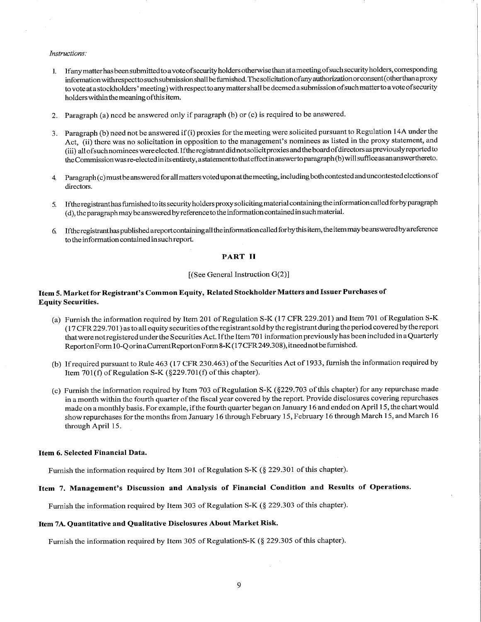### Instructions:

- 1. If any matter has been submitted to a vote of security holders otherwise than at ameeting of such security holders, corresponding information with respect to such submission shall be furnished. The solicitation of any authorization or consent (other than a proxy to vote ata stockholders' meeting) withrespectto any matter shall be deemed a submission of such matter to a vote ofsecurity holders within the meaning of this item.
- 2. Paragraph (a) need be answered only if paragraph (b) or (c) is required to be answered.
- 3. Paragraph (b) need not be answered if (i) proxies for the meeting were solicited pursuant to Regulation 14A under the Act, (ii) there was no solicitation in opposition to the management's nominees as listed in the proxy statement, and (iii) all of such nominees were elected. Iftheregistrantdidnotsolicitproxies and the board of directors as previously reported to the Commission was re-elected in its entirety, a statement to that effect in answer to paragraph (b) will suffice as an answerthereto.
- 4. Paragraph (c) must be answered for all matters voted upon at the meeting, including both contested and uncontested elections of directors.
- 5. If the registrant has furnished to its security holders proxy soliciting material containing the information called for by paragraph (d), the paragraph may be answered by reference to the information contained in such materiaL.
- 6. Ifhe registrant has published areportcontaing all the information called for by ths item, the item may be answered byareference to the information contained in such report.

## PART II

### ((See General Instruction G(2))

### Item 5. Market for Registrant's Common Equity, Related Stockholder Matters and Issuer Purchases of Equity Securities.

- (a) Furnish the information required by Item 201 of Regulation S-K (17 CFR 229.201) and Item 701 of Regulation S-K (17 CFR229. 701) as to all equity securities of the registrant sold by the registrant during the period covered by the report that were not registered under the Securities Act. Ifthe Item 701 information previously has been included in a Quarterly Report on Form 10-Q orin a Current Report on Form 8-K (17 CFR 249.308), it need not be furnished.
- (b) If required pursuant to Rule 463 (17 CFR 230.463) of the Securities Act of 1933, furnish the information required by Item 701(f) of Regulation S-K (§229.70l(f) of this chapter).
- (c) Furnish the information required by Item 703 of Regulation S-K (§229.703 ofthis chapter) for any repurchase made in a month within the fourth quarter ofthe fiscal year covered by the report. Provide disclosures covering repurchases made on a monthly basis. For example, if the fourth quarter began on January 16 and ended on April 15 , the chart would show repurchases for the months from January 16 through February 15, February 16 through March 15, and March 16 through April 15.

### Item 6. Selected Financial Data.

Furish the information required by Item 301 of Regulation S-K (§ 229.301 of this chapter).

### Item 7. Management's Discussion and Analysis of Financial Condition and Results of Operations.

Furnish the information required by Item 303 of Regulation S-K (§ 229.303 of this chapter).

## Item 7A. Quantitative and Qualitative Disclosures About Market Risk.

Furnish the information required by Item 305 of RegulationS-K (§ 229.305 of this chapter).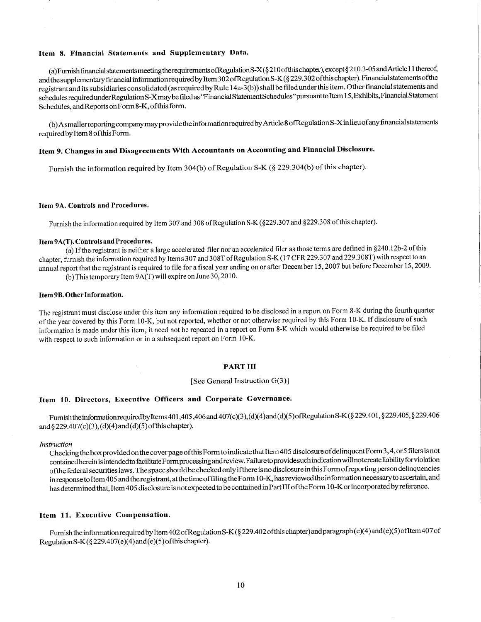## Item 8. Financial Statements and Supplementary Data.

(a)Fumsh fiancial statements meetig the requirements ofRegulation S- X (§ 21 0 of ths chapter), except § 21 0.3-05 and Aricle 11 thereof, and the supplementary financial information required by Item 302 of Regulation S-K (§ 229.302 of this chapter). Financial statements of the registrant and its subsidiaries consolidated (as required by Rule 14a- 3 (b)) shall be fied under this item. Other financial statements and schedules required under Regulation S-X may be filed as "Financial Statement Schedules" pursuant to Item 15, Exhibits, Financial Statement Schedules, and Reports on Form 8-K, of this form.

(b )Asmallerreporting company may provide the informationrequired by Aricle 8 ofRegulation S- X in lieu of any financial statements required by Item 8 ofthis Form.

## Item 9. Changes in and Disagreements With Accountants on Accounting and Financial Disclosure.

Furnish the information required by Item 304(b) of Regulation S-K (§ 229.304(b) of this chapter).

#### Item 9A. Controls and Procedures.

Furnish the information required by Item 307 and 308 of Regulation S-K (§229.307 and §229.308 ofthis chapter).

### Item 9A(T). Controls and Procedures.

(a) Ifthe registrant is neither a large accelerated filer nor an accelerated filer as those terms are defined in §240.l2b-2 ofthis chapter, furnish the information required by Items 307 and 308T of Regulation S-K (17 CFR 229.307 and 229.308T) with respectto an annual report that the registrant is required to fie for a fiscal year ending on or after December 15,2007 but before December 15, 2009.

(b) This temporary Item 9A(T) will expire on June 30, 2010.

#### Item 9B. Other Information.

The registrant must disclose under this item any information required to be disclosed in a report on Form 8-K during the fourth quarter of the year covered by this Form 10-K, but not reported, whether or not otherwise required by this Form 10-K. If disclosure of such information is made under this item, it need not be repeated in a report on Form 8-K which would otherwise be required to be filed with respect to such information or in a subsequent report on Form 10-K.

### PART III

#### [See General Instruction G(3)]

## Item 10. Directors, Executive Officers and Corporate Governance.

Furnishtheinformationrequiredby Items 401,405,406 and 407(c)(3), (d)(4) and (d)(5) of Regulation S-K(§229.401, §229.405, §229.406 and  $\S 229.407(c)(3)$ , (d)(4) and (d)(5) of this chapter).

#### Instruction

Checking the box provided on the cover page ofthisForm to indicatethatItem 405 disclosure of delinquent Form 3, 4, or 5 filers is not contained herein is intended to facilitateF orm processingandreview. Faiureto provide such indication will not create liabilty forviolation of the federal securities laws. The space should be checked only ifthere is no disclosure in ths Form of reporting person delinquencies in response to Item 405 and the registrant, at the time of filing the Form 10-K, has reviewed the information necessary to ascertain, and has determined that, Item 405 disclosure is not expected to be contained in Part III of the Form 10-K or incorporated by reference.

### Item 11. Executive Compensation.

Furnish the information required by Item 402 of Regulation S-K (§229.402 of this chapter) and paragraph (e)(4) and (e)(5) of Item 407 of Regulation S-K $(\S 229.407(e)(4)$  and  $(e)(5)$  of this chapter).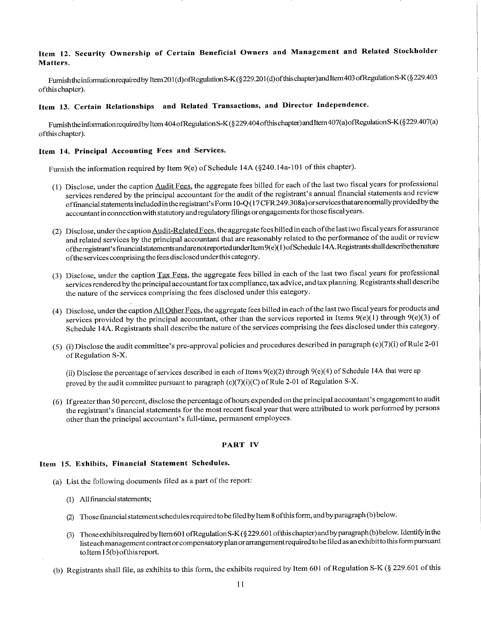# Item 12. Security Ownership of Certain Beneficial Owners and Management and Related Stockholder Matters.

Furnish the information required by Item 201(d) of Regulation S-K(§229.201(d) of this chapter) and Item 403 of Regulation S-K(§229.403 of this chapter).

# Item 13. Certain Relationships and Related Transactions, and Director Independence.

Furnish the information required by Item 404 of Regulation S-K(§229.404 of this chapter) and Item 407(a) of Regulation S-K(§229.407(a) of this chapter).

## Item 14. Principal Accounting Fees and Services.

Furnish the information required by Item 9(e) of Schedule 14A (§240.14a-101 of this chapter).

- (1) Disclose, under the caption Audit Fees, the aggregate fees billed for each of the last two fiscal years for professional services rendered by the principal accountant for the audit of the registrant's annual financial statements and review of financial statements included in the registrant's Form 10-Q(17CFR 249.308a) or services that are normally provided by the accountant in connection with statutory and regulatory filings or engagements forthose fiscal years.
- (2) Disclose, under the caption Audit-Related Fees, the aggregate fees biled in each ofthe last two fiscal years for assurance and related services by the principal accountant that are reasonably related to the performance of the audit or review of the registrnt' s fmancial statements and are notreported under Item9( e)(1 ) of Schedule 14A. Registrants shall descrbe the natue ofthe services comprising the fees disclosed under this category.
- (3) Disclose, under the caption  $Tax Fees$ , the aggregate fees billed in each of the last two fiscal years for professional services rendered by the principal accountant for tax compliance, tax advice, and tax planning. Registrants shall describe the nature of the services comprising the fees disclosed under this category.
- (4) Disclose, under the caption All Other Fees, the aggregate fees biled in each ofthe last two fiscal years for products and services provided by the principal accountant, other than the services reported in Items 9(e)(1) through 9(e)(3) of Schedule 14A. Registrants shall describe the nature of the services comprising the fees disclosed under this category.
- (5) (i) Disclose the audit committee's pre-approval policies and procedures described in paragraph (c)(7)(i) of Rule 2-01 of Regulation S-X.

(ii) Disclose the percentage of services described in each of Items  $9(e)(2)$  through  $9(e)(4)$  of Schedule 14A that were ap proved by the audit committee pursuant to paragraph  $(c)(7)(i)(C)$  of Rule 2-01 of Regulation S-X.

(6) If greater than 50 percent, disclose the percentage of the the registrant's financial statements for the most recent fiscal year that were attributed to work performed by persons (6) If greater than 50 percent, disclose the percentage of hours expended on the principal accountant's engagement to audit other than the principal accountant's full-time, permanent employees.

### PART iv

### Item 15. Exhibits, Financial Statement Schedules.

- (a) List the following documents filed as a part of the report:
	- (1) All fiancial statements;
	- (2) Those financial statement schedules required to be filed by Item 8 ofthis form, and by paragraph (b) below.
	- list each management contract or compensatory plan or arrangement required to be filed as an exhibit to this form pursuant (3) Those exhibits required by Item 601 of Regulation S-K(§229.601 of this chapter) and by paragraph (b) below. Identify in the to Item 15(b) ofthis report.
- (b) Registrants shall file, as exhibits to this form, the exhibits required by Item 601 of Regulation S-K (§ 229.601 ofthis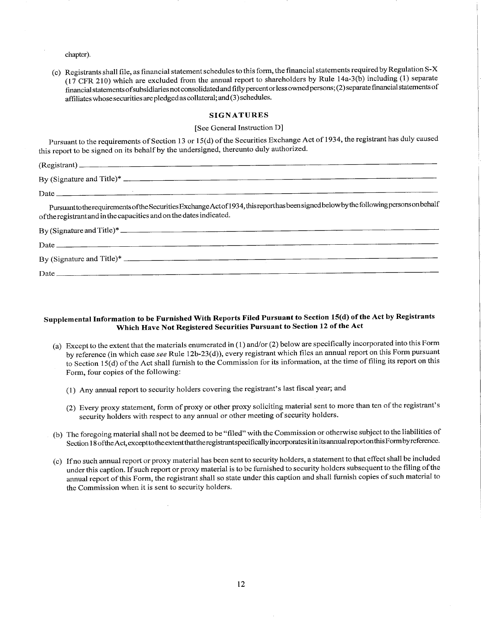chapter).

( c) Registrants shall fie, as financial statement schedules to this form, the financial statements required by Regulation S- X (17 CFR 210) which are excluded from the annual report to shareholders by Rule 14a-3(b) including (1) separate financial statements of subsidiaries not consolidated and fifty percent or less owned persons; (2) separate financial statements of affiliates whose securities are pledged as collateral; and (3 ) schedules.

### SIGNATURES

### (See General Instruction D)

Pursuant to the requirements of Section 13 or 15(d) of the Securities Exchange Act of 1934, the registrant has duly caused this report to be signed on its behalf by the undersigned, thereunto duly authorized.

| (Registrant)                                                                                                                                                                                                                                                                                                                                                                                                  |
|---------------------------------------------------------------------------------------------------------------------------------------------------------------------------------------------------------------------------------------------------------------------------------------------------------------------------------------------------------------------------------------------------------------|
|                                                                                                                                                                                                                                                                                                                                                                                                               |
|                                                                                                                                                                                                                                                                                                                                                                                                               |
| Pursuant to the requirements of the Securities Exchange Act of 1934, this report has been signed below by the following persons on behalf<br>of the registrant and in the capacities and on the dates indicated.                                                                                                                                                                                              |
|                                                                                                                                                                                                                                                                                                                                                                                                               |
|                                                                                                                                                                                                                                                                                                                                                                                                               |
|                                                                                                                                                                                                                                                                                                                                                                                                               |
| Date $\frac{1}{\sqrt{1-\frac{1}{2}}\sqrt{1-\frac{1}{2}}\sqrt{1-\frac{1}{2}}\sqrt{1-\frac{1}{2}}\sqrt{1-\frac{1}{2}}\sqrt{1-\frac{1}{2}}\sqrt{1-\frac{1}{2}}\sqrt{1-\frac{1}{2}}\sqrt{1-\frac{1}{2}}\sqrt{1-\frac{1}{2}}\sqrt{1-\frac{1}{2}}\sqrt{1-\frac{1}{2}}\sqrt{1-\frac{1}{2}}\sqrt{1-\frac{1}{2}}\sqrt{1-\frac{1}{2}}\sqrt{1-\frac{1}{2}}\sqrt{1-\frac{1}{2}}\sqrt{1-\frac{1}{2}}\sqrt{1-\frac{1}{2}}\$ |

## Supplemental Information to be Furnished With Reports Filed Pursuant to Section 15(d) of the Act by Registrants Which Have Not Registered Securities Pursuant to Section 12 of the Act

- (a) Except to the extent that the materials enumerated in (1) and/or (2) below are specifically incorporated into this Form by reference (in which case see Rule 12b-23(d)), every registrant which fies an annual report on this Form pursuant to Section 15(d) of the Act shall furnish to the Commission for its information, at the time of filing its report on this Form, four copies of the following:
	- (1) Any annual report to security holders covering the registrant's last fiscal year; and
	- (2) Every proxy statement, form of proxy or other proxy soliciting material sent to more than ten of the registrant's security holders with respect to any annual or other meeting of security holders.
- (b) The foregoing material shall not be deemed to be "fied" with the Commission or otherwise subject to the liabilties of Section 18 of the Act, exceptto the extentthattheregistrantspecifically incorporates it in its anual report on this Form by reference.
- (c) If no such annual report or proxy material has been sent to security holders, a statement to that effect shall be included under this caption. If such report or proxy material is to be furnished to security holders subsequent to the filing of the annual report of this Form, the registrant shall so state under this caption and shall furnish copies of such material to the Commission when it is sent to security holders.